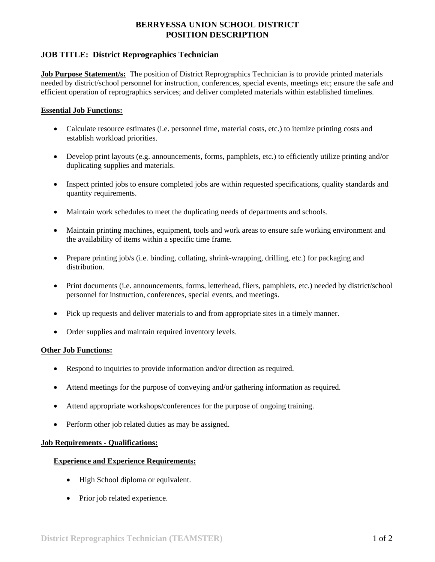## **BERRYESSA UNION SCHOOL DISTRICT POSITION DESCRIPTION**

## **JOB TITLE: District Reprographics Technician**

**Job Purpose Statement/s:** The position of District Reprographics Technician is to provide printed materials needed by district/school personnel for instruction, conferences, special events, meetings etc; ensure the safe and efficient operation of reprographics services; and deliver completed materials within established timelines.

#### **Essential Job Functions:**

- Calculate resource estimates (i.e. personnel time, material costs, etc.) to itemize printing costs and establish workload priorities.
- Develop print layouts (e.g. announcements, forms, pamphlets, etc.) to efficiently utilize printing and/or duplicating supplies and materials.
- Inspect printed jobs to ensure completed jobs are within requested specifications, quality standards and quantity requirements.
- Maintain work schedules to meet the duplicating needs of departments and schools.
- Maintain printing machines, equipment, tools and work areas to ensure safe working environment and the availability of items within a specific time frame.
- Prepare printing job/s (i.e. binding, collating, shrink-wrapping, drilling, etc.) for packaging and distribution.
- Print documents (i.e. announcements, forms, letterhead, fliers, pamphlets, etc.) needed by district/school personnel for instruction, conferences, special events, and meetings.
- Pick up requests and deliver materials to and from appropriate sites in a timely manner.
- Order supplies and maintain required inventory levels.

#### **Other Job Functions:**

- Respond to inquiries to provide information and/or direction as required.
- Attend meetings for the purpose of conveying and/or gathering information as required.
- Attend appropriate workshops/conferences for the purpose of ongoing training.
- Perform other job related duties as may be assigned.

#### **Job Requirements - Qualifications:**

#### **Experience and Experience Requirements:**

- High School diploma or equivalent.
- Prior job related experience.